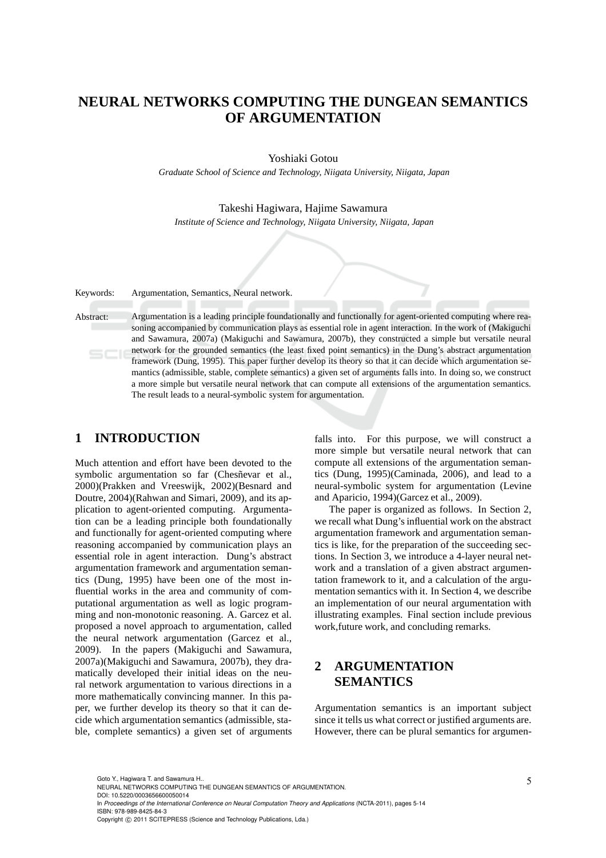# **NEURAL NETWORKS COMPUTING THE DUNGEAN SEMANTICS OF ARGUMENTATION**

Yoshiaki Gotou

*Graduate School of Science and Technology, Niigata University, Niigata, Japan*

Takeshi Hagiwara, Hajime Sawamura

*Institute of Science and Technology, Niigata University, Niigata, Japan*

Keywords: Argumentation, Semantics, Neural network.

Abstract: Argumentation is a leading principle foundationally and functionally for agent-oriented computing where reasoning accompanied by communication plays as essential role in agent interaction. In the work of (Makiguchi and Sawamura, 2007a) (Makiguchi and Sawamura, 2007b), they constructed a simple but versatile neural network for the grounded semantics (the least fixed point semantics) in the Dung's abstract argumentation framework (Dung, 1995). This paper further develop its theory so that it can decide which argumentation semantics (admissible, stable, complete semantics) a given set of arguments falls into. In doing so, we construct a more simple but versatile neural network that can compute all extensions of the argumentation semantics. The result leads to a neural-symbolic system for argumentation.

## **1 INTRODUCTION**

Much attention and effort have been devoted to the symbolic argumentation so far (Chesñevar et al., 2000)(Prakken and Vreeswijk, 2002)(Besnard and Doutre, 2004)(Rahwan and Simari, 2009), and its application to agent-oriented computing. Argumentation can be a leading principle both foundationally and functionally for agent-oriented computing where reasoning accompanied by communication plays an essential role in agent interaction. Dung's abstract argumentation framework and argumentation semantics (Dung, 1995) have been one of the most influential works in the area and community of computational argumentation as well as logic programming and non-monotonic reasoning. A. Garcez et al. proposed a novel approach to argumentation, called the neural network argumentation (Garcez et al., 2009). In the papers (Makiguchi and Sawamura, 2007a)(Makiguchi and Sawamura, 2007b), they dramatically developed their initial ideas on the neural network argumentation to various directions in a more mathematically convincing manner. In this paper, we further develop its theory so that it can decide which argumentation semantics (admissible, stable, complete semantics) a given set of arguments falls into. For this purpose, we will construct a more simple but versatile neural network that can compute all extensions of the argumentation semantics (Dung, 1995)(Caminada, 2006), and lead to a neural-symbolic system for argumentation (Levine and Aparicio, 1994)(Garcez et al., 2009).

The paper is organized as follows. In Section 2, we recall what Dung's influential work on the abstract argumentation framework and argumentation semantics is like, for the preparation of the succeeding sections. In Section 3, we introduce a 4-layer neural network and a translation of a given abstract argumentation framework to it, and a calculation of the argumentation semantics with it. In Section 4, we describe an implementation of our neural argumentation with illustrating examples. Final section include previous work,future work, and concluding remarks.

# **2 ARGUMENTATION SEMANTICS**

Argumentation semantics is an important subject since it tells us what correct or justified arguments are. However, there can be plural semantics for argumen-

Goto Y., Hagiwara T. and Sawamura H.

DOI: 10.5220/0003656600050014

In *Proceedings of the International Conference on Neural Computation Theory and Applications* (NCTA-2011), pages 5-14 ISBN: 978-989-8425-84-3

NEURAL NETWORKS COMPUTING THE DUNGEAN SEMANTICS OF ARGUMENTATION.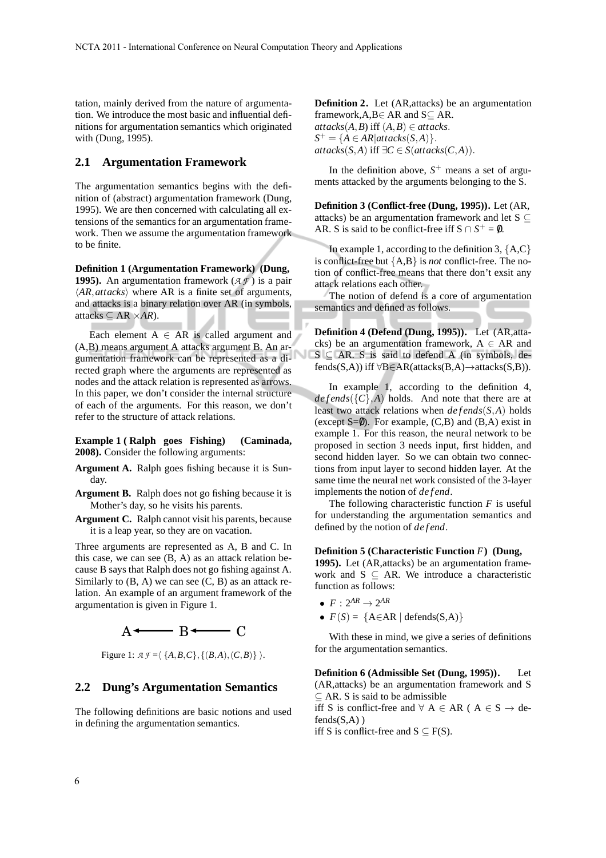tation, mainly derived from the nature of argumentation. We introduce the most basic and influential definitions for argumentation semantics which originated with (Dung, 1995).

## **2.1 Argumentation Framework**

The argumentation semantics begins with the definition of (abstract) argumentation framework (Dung, 1995). We are then concerned with calculating all extensions of the semantics for an argumentation framework. Then we assume the argumentation framework to be finite.

**Definition 1 (Argumentation Framework) (Dung, 1995).** An argumentation framework (*A F* ) is a pair  $\langle AR, \text{attacks} \rangle$  where AR is a finite set of arguments, and attacks is a binary relation over AR (in symbols, attacks  $subseteq AR \times AR$ ).

Each element  $A \in AR$  is called argument and (A,B) means argument A attacks argument B. An argumentation framework can be represented as a directed graph where the arguments are represented as nodes and the attack relation is represented as arrows. In this paper, we don't consider the internal structure of each of the arguments. For this reason, we don't refer to the structure of attack relations.

**Example 1 ( Ralph goes Fishing) (Caminada, 2008).** Consider the following arguments:

- **Argument A.** Ralph goes fishing because it is Sunday.
- **Argument B.** Ralph does not go fishing because it is Mother's day, so he visits his parents.
- **Argument C.** Ralph cannot visit his parents, because it is a leap year, so they are on vacation.

Three arguments are represented as A, B and C. In this case, we can see (B, A) as an attack relation because B says that Ralph does not go fishing against A. Similarly to  $(B, A)$  we can see  $(C, B)$  as an attack relation. An example of an argument framework of the argumentation is given in Figure 1.



Figure 1:  $\mathcal{AF} = \langle \{A, B, C\}, \{(B, A), (C, B)\} \rangle$ .

## **2.2 Dung's Argumentation Semantics**

The following definitions are basic notions and used in defining the argumentation semantics.

**Definition 2.** Let (AR,attacks) be an argumentation framework, $A, B \in AR$  and  $S \subseteq AR$ .  $attacks(A, B)$  iff  $(A, B) \in attacks$ .  $S^+ = \{A \in AR | \text{attacks}(S, A)\}.$  $\text{attacks}(S, A) \text{ iff } \exists C \in S(\text{attacks}(C, A)).$ 

In the definition above,  $S^+$  means a set of arguments attacked by the arguments belonging to the S.

**Definition 3 (Conflict-free (Dung, 1995)).** Let (AR, attacks) be an argumentation framework and let  $S \subseteq$ AR. S is said to be conflict-free iff  $S \cap S^+ = \emptyset$ .

In example 1, according to the definition 3,  ${A, C}$ is conflict-free but {A,B} is *not* conflict-free. The notion of conflict-free means that there don't exsit any attack relations each other.

The notion of defend is a core of argumentation semantics and defined as follows.

**Definition 4 (Defend (Dung, 1995)).** Let (AR,attacks) be an argumentation framework,  $A \in AR$  and  $S \subseteq AR$ . S is said to defend A (in symbols, defends(S,A)) iff  $\forall B \in AR(attacks(B,A) \rightarrow attacks(S,B)).$ 

In example 1, according to the definition 4,  $defends({C}, A)$  holds. And note that there are at least two attack relations when *de f ends*(*S*,*A*) holds (except  $S=0$ ). For example,  $(C,B)$  and  $(B,A)$  exist in example 1. For this reason, the neural network to be proposed in section 3 needs input, first hidden, and second hidden layer. So we can obtain two connections from input layer to second hidden layer. At the same time the neural net work consisted of the 3-layer implements the notion of *de f end*.

The following characteristic function *F* is useful for understanding the argumentation semantics and defined by the notion of *de f end*.

#### **Definition 5 (Characteristic Function** *F***) (Dung,**

**1995).** Let (AR,attacks) be an argumentation framework and  $S \subseteq AR$ . We introduce a characteristic function as follows:

- $F: 2^{AR} \rightarrow 2^{AR}$
- $F(S) = \{A \in AR \mid \text{defends}(S, A)\}\$

With these in mind, we give a series of definitions for the argumentation semantics.

**Definition 6 (Admissible Set (Dung, 1995)).** Let (AR,attacks) be an argumentation framework and S  $\subseteq$  AR. S is said to be admissible iff S is conflict-free and  $\forall A \in AR \text{ } (A \in S \rightarrow de-$ 

 $fends(S,A)$ )

iff S is conflict-free and  $S \subseteq F(S)$ .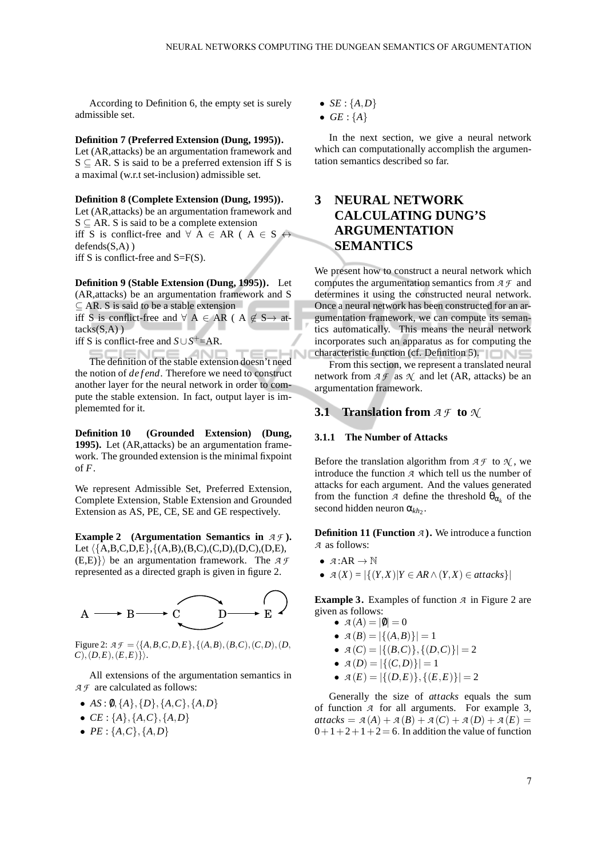According to Definition 6, the empty set is surely admissible set.

### **Definition 7 (Preferred Extension (Dung, 1995)).**

Let (AR,attacks) be an argumentation framework and  $S \subseteq AR$ . S is said to be a preferred extension iff S is a maximal (w.r.t set-inclusion) admissible set.

### **Definition 8 (Complete Extension (Dung, 1995)).**

Let (AR,attacks) be an argumentation framework and  $S \subseteq AR$ . S is said to be a complete extension iff S is conflict-free and  $\forall A \in AR \land A \in S \leftrightarrow$  $defends(S, A)$ iff S is conflict-free and S=F(S).

**Definition 9 (Stable Extension (Dung, 1995)).** Let (AR,attacks) be an argumentation framework and S ⊆ AR. S is said to be a stable extension iff S is conflict-free and  $\forall A \in AR \text{ } (A \notin S \rightarrow \text{ } at$  $tacks(S,A)$ )

iff S is conflict-free and  $S \cup S^+$ =AR.

The definition of the stable extension doesn't need the notion of *de f end*. Therefore we need to construct another layer for the neural network in order to compute the stable extension. In fact, output layer is implememted for it.

**Definition 10 (Grounded Extension) (Dung, 1995).** Let (AR,attacks) be an argumentation framework. The grounded extension is the minimal fixpoint of *F*.

We represent Admissible Set, Preferred Extension, Complete Extension, Stable Extension and Grounded Extension as AS, PE, CE, SE and GE respectively.

**Example 2 (Argumentation Semantics in** *A F* **).** Let  $\langle \{A,B,C,D,E\}, \{(A,B),(B,C),(C,D),(D,C),(D,E),\}$  $(E,E)$ } be an argumentation framework. The  $\mathcal{A} \mathcal{F}$ represented as a directed graph is given in figure 2.



Figure 2:  $A \mathcal{F} = \{\{A, B, C, D, E\}, \{(A, B), (B, C), (C, D), (D, A)\}\$  $C$ , $(D,E)$ , $(E,E)$ }.

All extensions of the argumentation semantics in *A F* are calculated as follows:

- $AS: \emptyset, \{A\}, \{D\}, \{A, C\}, \{A, D\}$
- $CE: \{A\}, \{A, C\}, \{A, D\}$
- $PE: \{A, C\}, \{A, D\}$
- *SE* :  ${A, D}$
- $\bullet$  *GE* : {*A*}

In the next section, we give a neural network which can computationally accomplish the argumentation semantics described so far.

# **3 NEURAL NETWORK CALCULATING DUNG'S ARGUMENTATION SEMANTICS**

We present how to construct a neural network which computes the argumentation semantics from *A F* and determines it using the constructed neural network. Once a neural network has been constructed for an argumentation framework, we can compute its semantics automatically. This means the neural network incorporates such an apparatus as for computing the characteristic function (cf. Definition 5).

From this section, we represent a translated neural network from  $A \mathcal{F}$  as  $\mathcal{N}$  and let (AR, attacks) be an argumentation framework.

## **3.1 Translation from** *A F* **to** *N*

#### **3.1.1 The Number of Attacks**

Before the translation algorithm from  $A \mathcal{F}$  to  $\mathcal{N}$ , we introduce the function *A* which tell us the number of attacks for each argument. And the values generated from the function *A* define the threshold  $\theta_{\alpha_k}$  of the second hidden neuron  $\alpha_{kh_2}$ .

**Definition 11 (Function** *A* **).** We introduce a function *A* as follows:

- $\mathcal{A}:AR\to\mathbb{N}$
- *A* (*X*) <sup>=</sup> |{(*Y*,*X*)|*<sup>Y</sup>* <sup>∈</sup> *AR*∧(*Y*,*X*) <sup>∈</sup> *attacks*}|

**Example 3.** Examples of function *A* in Figure 2 are given as follows:

- $A(A) = |0| = 0$
- $A(B) = |\{(A, B)\}| = 1$
- $A(C) = |\{(B, C)\}, \{(D, C)\}| = 2$
- $A(D) = |\{(C,D)\}| = 1$
- $A(E) = |\{(D, E)\}, \{(E, E)\}| = 2$

Generally the size of *attacks* equals the sum of function *A* for all arguments. For example 3,  $\alpha$ *attacks* =  $\alpha(A) + \alpha(B) + \alpha(C) + \alpha(D) + \alpha(E) =$  $0+1+2+1+2= 6$ . In addition the value of function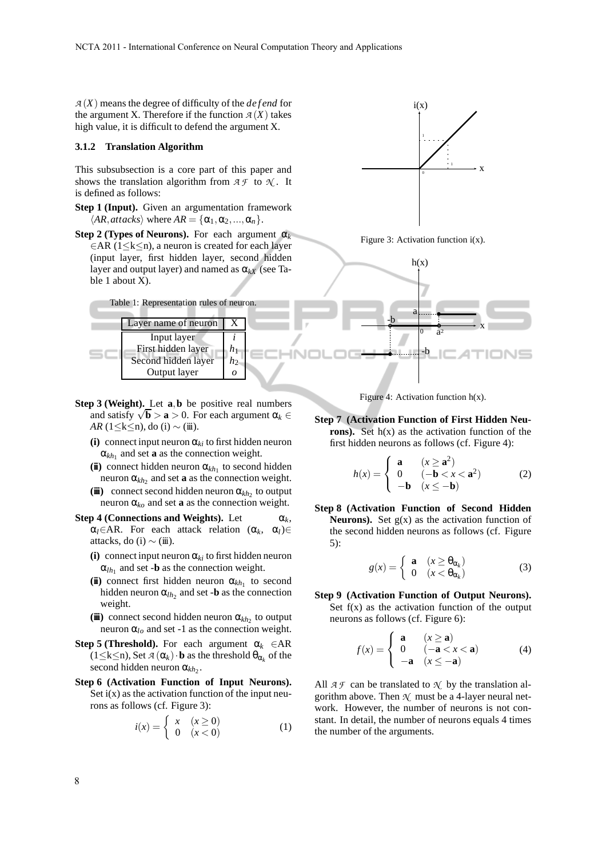$A(X)$  means the degree of difficulty of the *defend* for the argument X. Therefore if the function  $A(X)$  takes high value, it is difficult to defend the argument X.

#### **3.1.2 Translation Algorithm**

This subsubsection is a core part of this paper and shows the translation algorithm from  $A \mathcal{F}$  to  $\mathcal{N}$ . It is defined as follows:

- **Step 1 (Input).** Given an argumentation framework  $\langle AR, \text{attacks} \rangle$  where  $AR = {\alpha_1, \alpha_2, ..., \alpha_n}.$
- **Step 2 (Types of Neurons).** For each argument  $\alpha_k$ ∈AR (1≤k≤n), a neuron is created for each layer (input layer, first hidden layer, second hidden layer and output layer) and named as  $\alpha_{kX}$  (see Table 1 about X).



- **Step 3 (Weight).** Let **a**,**b** be positive real numbers and satisfy  $\sqrt{b} > a > 0$ . For each argument  $\alpha_k \in$ *AR* (1≤k≤n), do (i) ~ (iii).
	- **(i)** connect input neuron  $\alpha_{ki}$  to first hidden neuron  $\alpha_{kh_1}$  and set **a** as the connection weight.
	- (ii) connect hidden neuron  $\alpha_{kh_1}$  to second hidden neuron  $\alpha_{kh_2}$  and set **a** as the connection weight.
	- (iii) connect second hidden neuron  $\alpha_{kh_2}$  to output neuron  $\alpha_{k_0}$  and set **a** as the connection weight.
- **Step 4 (Connections and Weights).** Let  $\alpha_k$ ,  $\alpha_l \in AR$ . For each attack relation  $(\alpha_k, \alpha_l) \in$ attacks, do (i)  $\sim$  (iii).
	- **(i)** connect input neuron  $\alpha_{ki}$  to first hidden neuron  $\alpha_{lh_1}$  and set -**b** as the connection weight.
	- (ii) connect first hidden neuron  $\alpha_{kh_1}$  to second hidden neuron  $\alpha_{lh_2}$  and set -**b** as the connection weight.
	- $(\mathbf{ii})$  connect second hidden neuron  $\alpha_{kh_2}$  to output neuron  $\alpha_{l_o}$  and set -1 as the connection weight.
- **Step 5 (Threshold).** For each argument  $\alpha_k \in AR$  $(1 \leq k \leq n)$ , Set  $\mathcal{A}(\alpha_k) \cdot \mathbf{b}$  as the threshold  $\theta_{\alpha_k}$  of the second hidden neuron  $\alpha_{kh_2}$ .
- **Step 6 (Activation Function of Input Neurons).** Set  $i(x)$  as the activation function of the input neurons as follows (cf. Figure 3):

$$
i(x) = \begin{cases} x & (x \ge 0) \\ 0 & (x < 0) \end{cases} \tag{1}
$$



Figure 3: Activation function  $i(x)$ .



Figure 4: Activation function  $h(x)$ .

**Step 7 (Activation Function of First Hidden Neurons).** Set  $h(x)$  as the activation function of the first hidden neurons as follows (cf. Figure 4):

$$
h(x) = \begin{cases} \mathbf{a} & (x \ge \mathbf{a}^2) \\ 0 & (-\mathbf{b} < x < \mathbf{a}^2) \\ -\mathbf{b} & (x \le -\mathbf{b}) \end{cases} \tag{2}
$$

**Step 8 (Activation Function of Second Hidden Neurons**). Set  $g(x)$  as the activation function of the second hidden neurons as follows (cf. Figure 5):

$$
g(x) = \begin{cases} \mathbf{a} & (x \ge \theta_{\alpha_k}) \\ 0 & (x < \theta_{\alpha_k}) \end{cases} \tag{3}
$$

**Step 9 (Activation Function of Output Neurons).** Set  $f(x)$  as the activation function of the output neurons as follows (cf. Figure 6):

$$
f(x) = \begin{cases} \mathbf{a} & (x \ge \mathbf{a}) \\ 0 & (-\mathbf{a} < x < \mathbf{a}) \\ -\mathbf{a} & (x \le -\mathbf{a}) \end{cases} \tag{4}
$$

All  $A \mathcal{F}$  can be translated to  $\mathcal{N}$  by the translation algorithm above. Then  $\mathcal{N}$  must be a 4-layer neural network. However, the number of neurons is not constant. In detail, the number of neurons equals 4 times the number of the arguments.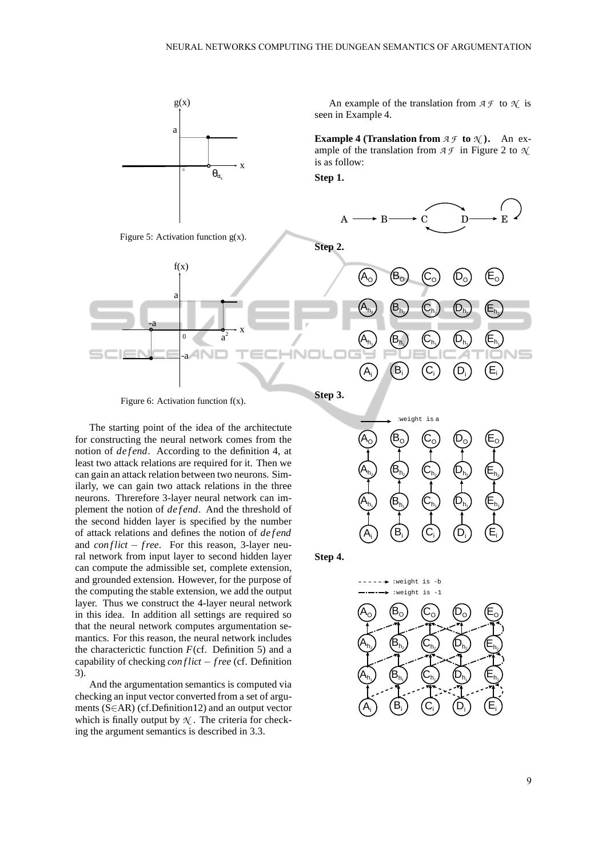

The starting point of the idea of the architectute for constructing the neural network comes from the notion of *defend*. According to the definition 4, at least two attack relations are required for it. Then we can gain an attack relation between two neurons. Similarly, we can gain two attack relations in the three neurons. Threrefore 3-layer neural network can implement the notion of *de f end*. And the threshold of the second hidden layer is specified by the number of attack relations and defines the notion of *de f end* and *conflict* − *free*. For this reason, 3-layer neural network from input layer to second hidden layer can compute the admissible set, complete extension, and grounded extension. However, for the purpose of the computing the stable extension, we add the output layer. Thus we construct the 4-layer neural network in this idea. In addition all settings are required so that the neural network computes argumentation semantics. For this reason, the neural network includes the characterictic function  $F$ (cf. Definition 5) and a capability of checking *con f lict* − *f ree* (cf. Definition 3).

And the argumentation semantics is computed via checking an input vector converted from a set of arguments (S∈AR) (cf.Definition12) and an output vector which is finally output by *N* . The criteria for checking the argument semantics is described in 3.3.

**Step 4.**

 $A_i$ 

 $\mathsf{A}_{\mathsf{h}_1}$ 

 $\mathsf{A}_{\mathsf{h}_2}$ 



 $\mathsf{B}_{\mathsf{h}_2}$ 

 $\mathsf{B}_{\mathsf{h}_1}$ 

Bi



 $(\mathsf{A_o})$   $(\mathsf{B_o})$   $(\mathsf{C_o})$   $(\mathsf{D_o})$   $(\mathsf{E_o})$ 

 $\mathbf{C}_{\mathsf{h}_2}$ 

 $\mathbf{C}_{\mathsf{h}_1}$ 

 $(C_i)$   $(D_i)$ 

 $\mathsf{D}_{\mathsf{h}_1}$ 

 $\left(\mathsf{D}_{\mathsf{h}_2}\right)$   $\left(\mathsf{E}_{\mathsf{h}_2}\right)$ 

 $\mathsf{E}_\mathsf{h_1}$ 

Ei

9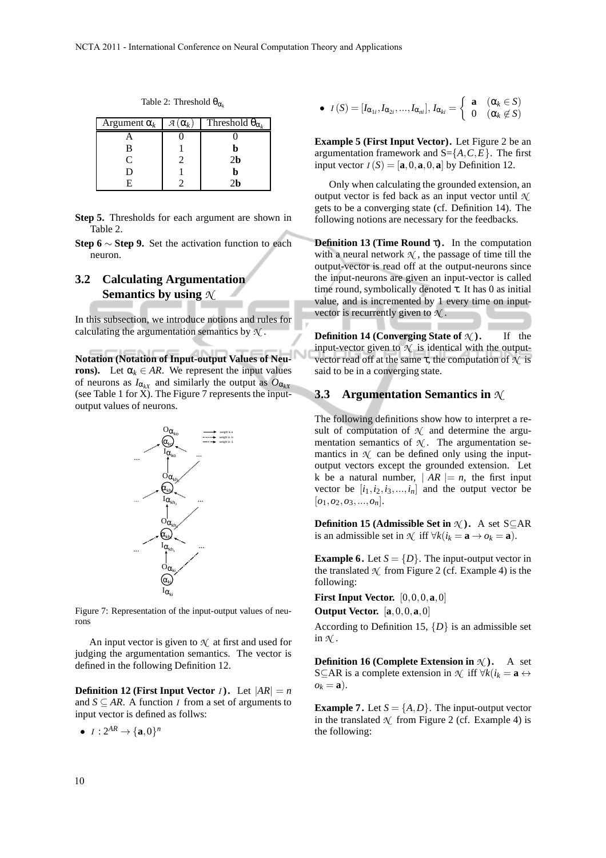|  | Table 2: Threshold $\theta_{\alpha_k}$ |  |
|--|----------------------------------------|--|
|--|----------------------------------------|--|

| Argument $\alpha_k$ | я<br>$(\alpha_k)$ | Threshold $\theta_{\alpha_k}$ |
|---------------------|-------------------|-------------------------------|
|                     |                   |                               |
| в                   |                   |                               |
| ⊂                   |                   | 2b                            |
|                     |                   |                               |
|                     |                   |                               |

**Step 5.** Thresholds for each argument are shown in Table 2.

**Step 6** ∼ **Step 9.** Set the activation function to each neuron.

# **3.2 Calculating Argumentation Semantics by using** *N*

In this subsection, we introduce notions and rules for calculating the argumentation semantics by *N* .

**Notation (Notation of Input-output Values of Neurons).** Let  $\alpha_k \in AR$ . We represent the input values of neurons as  $I_{\alpha_{kX}}$  and similarly the output as  $O_{\alpha_{kX}}$ (see Table 1 for X). The Figure 7 represents the inputoutput values of neurons.



Figure 7: Representation of the input-output values of neurons

An input vector is given to  $\mathcal{N}$  at first and used for judging the argumentation semantics. The vector is defined in the following Definition 12.

**Definition 12 (First Input Vector** *I*). Let  $|AR| = n$ and  $S \subseteq AR$ . A function *I* from a set of arguments to input vector is defined as follws:

•  $I: 2^{AR} \to \{a, 0\}^n$ 

• 
$$
I(S) = [I_{\alpha_{1i}}, I_{\alpha_{2i}}, ..., I_{\alpha_{ni}}], I_{\alpha_{ki}} = \begin{cases} \mathbf{a} & (\alpha_k \in S) \\ 0 & (\alpha_k \notin S) \end{cases}
$$

**Example 5 (First Input Vector).** Let Figure 2 be an argumentation framework and  $S = \{A, C, E\}$ . The first input vector  $I(S) = [\mathbf{a}, 0, \mathbf{a}, 0, \mathbf{a}]$  by Definition 12.

Only when calculating the grounded extension, an output vector is fed back as an input vector until *N* gets to be a converging state (cf. Definition 14). The following notions are necessary for the feedbacks.

**Definition 13 (Time Round** τ**).** In the computation with a neural network  $\mathcal N$ , the passage of time till the output-vector is read off at the output-neurons since the input-neurons are given an input-vector is called time round, symbolically denoted  $\tau$ . It has 0 as initial value, and is incremented by 1 every time on inputvector is recurrently given to *N* .

**Definition 14 (Converging State of**  $\mathcal{N}$ **).** If the input-vector given to  $\mathcal{N}$  is identical with the outputvector read off at the same τ, the computation of *N* is said to be in a converging state.

## **3.3 Argumentation Semantics in** *N*

The following definitions show how to interpret a result of computation of  $\mathcal{N}$  and determine the argumentation semantics of  $\mathcal{N}$ . The argumentation semantics in  $\mathcal N$  can be defined only using the inputoutput vectors except the grounded extension. Let k be a natural number,  $|AR| = n$ , the first input vector be  $[i_1, i_2, i_3, \ldots, i_n]$  and the output vector be  $[o_1, o_2, o_3, ..., o_n].$ 

**Definition 15 (Admissible Set in** *N* **).** A set S⊆AR is an admissible set in  $\mathcal{N}$  iff  $\forall k (i_k = \mathbf{a} \rightarrow o_k = \mathbf{a})$ .

**Example 6.** Let  $S = \{D\}$ . The input-output vector in the translated  $\mathcal{N}$  from Figure 2 (cf. Example 4) is the following:

**First Input Vector.** [0,0,0,**a**,0] **Output Vector.** [**a**,0,0,**a**,0]

According to Definition 15,  $\{D\}$  is an admissible set in  $\mathcal{N}$ .

**Definition 16 (Complete Extension in** *N* **).** A set S⊆AR is a complete extension in  $\mathcal{N}$  iff  $\forall k (i_k = \mathbf{a} \leftrightarrow \mathbf{a})$  $o_k = \mathbf{a}$ ).

**Example 7.** Let  $S = \{A, D\}$ . The input-output vector in the translated  $\mathcal N$  from Figure 2 (cf. Example 4) is the following: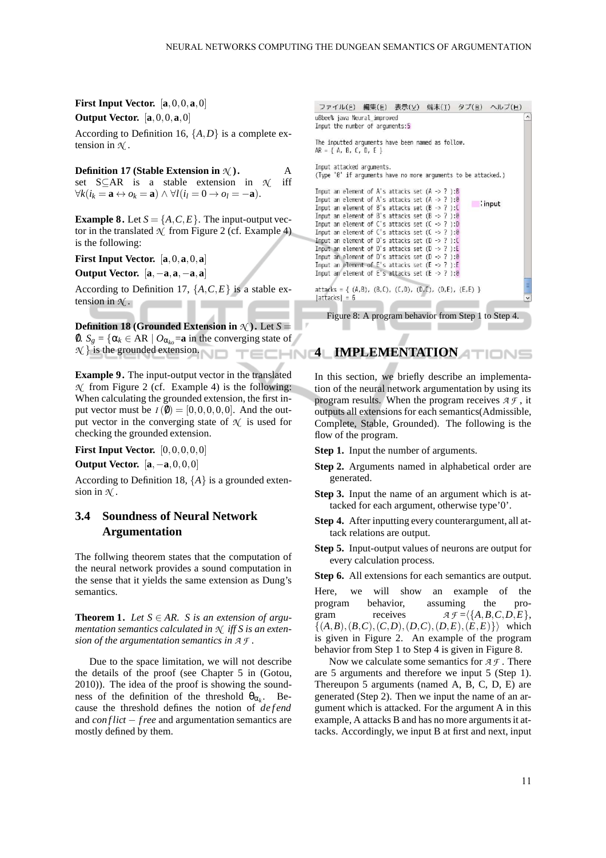**First Input Vector.** [**a**,0,0,**a**,0] **Output Vector.** [**a**,0,0,**a**,0]

According to Definition 16,  $\{A, D\}$  is a complete extension in  $\mathcal{N}$ .

**Definition 17 (Stable Extension in** *N* **).** A set S⊆AR is a stable extension in *N* iff  $\forall k (i_k = \mathbf{a} \leftrightarrow o_k = \mathbf{a}) \land \forall l (i_l = 0 \rightarrow o_l = -\mathbf{a}).$ 

**Example 8.** Let  $S = \{A, C, E\}$ . The input-output vector in the translated  $\mathcal N$  from Figure 2 (cf. Example 4) is the following:

**First Input Vector.** [**a**,0,**a**,0,**a**]

**Output Vector.** [**a**,−**a**,**a**,−**a**,**a**]

According to Definition 17,  $\{A, C, E\}$  is a stable extension in *N* . 

**Definition 18 (Grounded Extension in**  $\mathcal{N}$ ). Let  $S =$ 0.  $S_g = \{ \alpha_k \in AR \mid O_{\alpha_{ko}} = \mathbf{a} \text{ in the converging state of } \}$  $\mathcal{N}$ } is the grounded extension.

**Example 9.** The input-output vector in the translated *N* from Figure 2 (cf. Example 4) is the following: When calculating the grounded extension, the first input vector must be  $I(\emptyset) = [0, 0, 0, 0, 0]$ . And the output vector in the converging state of  $\mathcal{N}$  is used for checking the grounded extension.

**First Input Vector.** [0, 0, 0, 0, 0]

**Output Vector.** [**a**,−**a**,0,0,0]

According to Definition 18,  ${A}$  is a grounded extension in *N* .

# **3.4 Soundness of Neural Network Argumentation**

The follwing theorem states that the computation of the neural network provides a sound computation in the sense that it yields the same extension as Dung's semantics.

**Theorem 1.** *Let*  $S \in AR$ *. S is an extension of argumentation semantics calculated in N iff S is an extension of the argumentation semantics in A F .*

Due to the space limitation, we will not describe the details of the proof (see Chapter 5 in (Gotou, 2010)). The idea of the proof is showing the soundness of the definition of the threshold  $\theta_{\alpha_k}$ . Because the threshold defines the notion of *defend* and *con flict* − *f ree* and argumentation semantics are mostly defined by them.

ファイル(F) 編集(E) 表示(V) 端末(I) タブ(B) ヘルプ(H) u8bee% java Neural\_improved Input the number of arguments:5 The inputted arguments have been named as follow.  $AR = \{ A, B, C, D, E \}$ Inout attacked arouments. (Type '0' if arguments have no more arguments to be attacked.) Input an element of A's attacks set  $(A \rightarrow ?):B$ Input an element of A's attacks set (A -> ? ):0  $\blacksquare$ : input Input an element of B's attacks set  $(B \rightarrow ?)$ : Input an element of B's attacks set  $(6 \rightarrow ?)$ :0 Input an element of C's attacks set  $(C \rightarrow ?)$ :D Input an element of  $C^1$ s attacks set  $(C \rightarrow ?): \emptyset$ Input an element of D's attacks set  $(D \rightarrow ?)$ : Input an element of D's attacks set  $(D \rightarrow ?)$ :E Input an element of D's attacks set  $(D \rightarrow ?)$ :0 Input an element of  $E$ 's attacks set  $(E \rightarrow ?)$ :E Input an element of E's attacks set  $(E \rightarrow ?): \theta$  $attacks = \{ (A,B), (B,C), (C,D), (D,C), (D,E), (E,E) \}$  $|{\sf attacks}| = 6$ Figure 8: A program behavior from Step 1 to Step 4.

**4 IMPLEMENTATION** 

In this section, we briefly describe an implementation of the neural network argumentation by using its program results. When the program receives *A F* , it outputs all extensions for each semantics(Admissible, Complete, Stable, Grounded). The following is the flow of the program.

**Step 1.** Input the number of arguments.

- **Step 2.** Arguments named in alphabetical order are generated.
- **Step 3.** Input the name of an argument which is attacked for each argument, otherwise type'0'.
- **Step 4.** After inputting every counterargument, all attack relations are output.
- **Step 5.** Input-output values of neurons are output for every calculation process.

**Step 6.** All extensions for each semantics are output.

Here, we will show an example of the program behavior, assuming the program receives  $A \mathcal{F} = \langle \{A, B, C, D, E\},\}$  $\{(A,B), (B,C), (C,D), (D,C), (D,E), (E,E)\}\rangle$  which is given in Figure 2. An example of the program behavior from Step 1 to Step 4 is given in Figure 8.

Now we calculate some semantics for *A F* . There are 5 arguments and therefore we input 5 (Step 1). Thereupon 5 arguments (named A, B, C, D, E) are generated (Step 2). Then we input the name of an argument which is attacked. For the argument A in this example, A attacks B and has no more arguments it attacks. Accordingly, we input B at first and next, input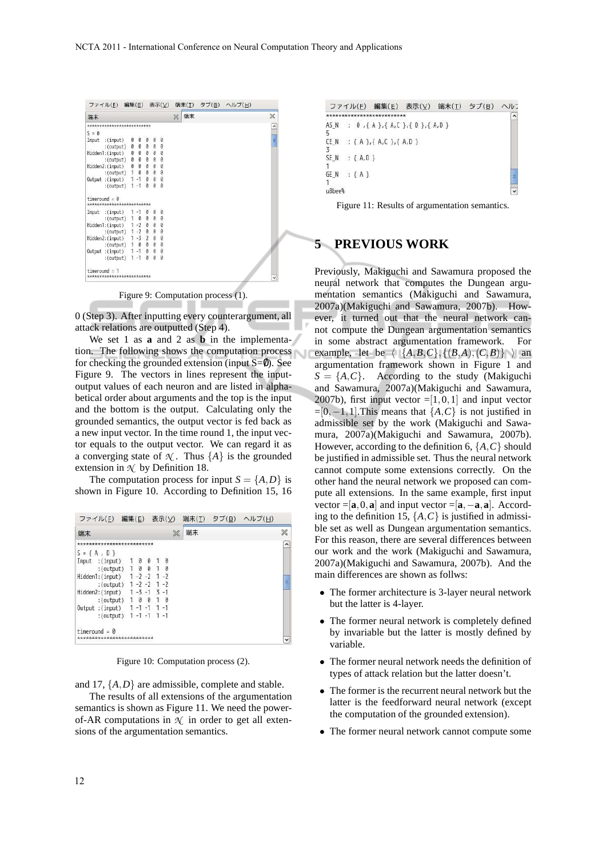|                 | ファイル(E) 編集(E) 表示(V)                                                                                                                                                                                                                                                                                                                                                                  |  |          |   |          |   |    | 端末(I) タブ(B) ヘルプ(H) |                |
|-----------------|--------------------------------------------------------------------------------------------------------------------------------------------------------------------------------------------------------------------------------------------------------------------------------------------------------------------------------------------------------------------------------------|--|----------|---|----------|---|----|--------------------|----------------|
| 端末              |                                                                                                                                                                                                                                                                                                                                                                                      |  |          |   |          | × | 端末 |                    | ×              |
|                 | *************************                                                                                                                                                                                                                                                                                                                                                            |  |          |   |          |   |    |                    | $\overline{ }$ |
| $S = \emptyset$ |                                                                                                                                                                                                                                                                                                                                                                                      |  |          |   |          |   |    |                    |                |
|                 | $\begin{array}{cccccc} \texttt{J} - \texttt{u} & (\texttt{input}) & 0 & 0 & 0 & 0 & 0 \\ \texttt{J} & (\texttt{output}) & 0 & 0 & 0 & 0 & 0 \\ \texttt{Hidden1: (input)} & 0 & 0 & 0 & 0 & 0 & 0 \\ \texttt{Hidden2: (output)} & 0 & 0 & 0 & 0 & 0 & 0 \\ \texttt{Hidden2: (input)} & 0 & 0 & 0 & 0 & 0 & 0 \\ \texttt{Output}: (\texttt{input}) & 1 & 0 & 0 & 0 & 0 \\ \end{array}$ |  |          |   |          |   |    |                    | Ξ              |
|                 |                                                                                                                                                                                                                                                                                                                                                                                      |  |          |   |          |   |    |                    |                |
|                 |                                                                                                                                                                                                                                                                                                                                                                                      |  |          |   |          |   |    |                    |                |
|                 |                                                                                                                                                                                                                                                                                                                                                                                      |  |          |   |          |   |    |                    |                |
|                 |                                                                                                                                                                                                                                                                                                                                                                                      |  |          |   |          |   |    |                    |                |
|                 |                                                                                                                                                                                                                                                                                                                                                                                      |  |          |   |          |   |    |                    |                |
|                 |                                                                                                                                                                                                                                                                                                                                                                                      |  |          |   |          |   |    |                    |                |
|                 | $:(output)$ 1-1                                                                                                                                                                                                                                                                                                                                                                      |  | $\theta$ | ø | $\theta$ |   |    |                    |                |
|                 | $timeround = \theta$<br>*************************                                                                                                                                                                                                                                                                                                                                    |  |          |   |          |   |    |                    |                |
|                 | Input : $(input)$ 1 -1 0 0                                                                                                                                                                                                                                                                                                                                                           |  |          |   | 0        |   |    |                    |                |
|                 |                                                                                                                                                                                                                                                                                                                                                                                      |  |          |   |          |   |    |                    |                |
|                 | (output) 1 0 0 0 0<br>Hidden1:(input) 1 -2 0 0 0<br>(output) 1 -2 0 0 0<br>Hidden2:(input) 1 -3 2 0 0<br>Hidden2:(input) 1 -3 2 0 0<br>Output :(input) 1 -1 0 0 0<br>Output :(input) 1 -1 0 0 0                                                                                                                                                                                      |  |          |   |          |   |    |                    |                |
|                 |                                                                                                                                                                                                                                                                                                                                                                                      |  |          |   |          |   |    |                    |                |
|                 |                                                                                                                                                                                                                                                                                                                                                                                      |  |          |   |          |   |    |                    |                |
|                 |                                                                                                                                                                                                                                                                                                                                                                                      |  |          |   |          |   |    |                    |                |
|                 |                                                                                                                                                                                                                                                                                                                                                                                      |  |          |   |          |   |    |                    |                |
|                 | : (output) $1 - 1$                                                                                                                                                                                                                                                                                                                                                                   |  | $\theta$ |   | 0 0      |   |    |                    |                |
|                 | $timeround = 1$                                                                                                                                                                                                                                                                                                                                                                      |  |          |   |          |   |    |                    |                |
|                 | *************************                                                                                                                                                                                                                                                                                                                                                            |  |          |   |          |   |    |                    |                |

Figure 9: Computation process (1).

0 (Step 3). After inputting every counterargument, all attack relations are outputted (Step 4).

We set 1 as **a** and 2 as **b** in the implementation. The following shows the computation process for checking the grounded extension (input  $S=0$ ). See Figure 9. The vectors in lines represent the inputoutput values of each neuron and are listed in alphabetical order about arguments and the top is the input and the bottom is the output. Calculating only the grounded semantics, the output vector is fed back as a new input vector. In the time round 1, the input vector equals to the output vector. We can regard it as a converging state of  $\mathcal{N}$ . Thus  $\{A\}$  is the grounded extension in  $\mathcal{N}$  by Definition 18.

The computation process for input  $S = \{A, D\}$  is shown in Figure 10. According to Definition 15, 16

|    |                                                 |  |  |   |    | ファイル(F) 編集(E) 表示(V) 端末(T) タブ(B) ヘルプ(H) |           |
|----|-------------------------------------------------|--|--|---|----|----------------------------------------|-----------|
| 端末 |                                                 |  |  | × | 端末 |                                        | ×         |
|    | **************************                      |  |  |   |    |                                        | $\lambda$ |
|    | $S = \{ A, D \}$                                |  |  |   |    |                                        |           |
|    | Input :(input) 1 0 0 1 0<br>:(output) 1 0 0 1 0 |  |  |   |    |                                        |           |
|    |                                                 |  |  |   |    |                                        |           |
|    | Hidden1:(input) 1-2-2 1-2                       |  |  |   |    |                                        |           |
|    | :(output) $1 - 2 - 2$ 1 -2                      |  |  |   |    |                                        | Ę         |
|    | Hidden2:(input) 1-3-1 3-1                       |  |  |   |    |                                        |           |
|    | :(output) $1 \t0 \t0 \t1 \t0$                   |  |  |   |    |                                        |           |
|    | Output : (input) 1-1-1 1-1                      |  |  |   |    |                                        |           |
|    | : (output) $1 - 1 - 1 1 - 1$                    |  |  |   |    |                                        |           |
|    | timeround = $\theta$                            |  |  |   |    |                                        |           |
|    | ***************************                     |  |  |   |    |                                        | v         |

Figure 10: Computation process (2).

and 17, {*A*,*D*} are admissible, complete and stable.

The results of all extensions of the argumentation semantics is shown as Figure 11. We need the powerof-AR computations in  $\mathcal N$  in order to get all extensions of the argumentation semantics.

|        |                   | ファイル(F) 編集(E) 表示(V) 端末(T) タブ(B)           |  | ヘルコ       |
|--------|-------------------|-------------------------------------------|--|-----------|
|        |                   |                                           |  | $\hat{ }$ |
|        |                   | AS N: 0, { A }, { A, C }, { D }, { A, D } |  |           |
|        |                   | CE N : { A }, { A, C }, { A, D }          |  |           |
|        | $SE N$ : ${A.D.}$ |                                           |  |           |
| u8bee% | GEN : {A}         |                                           |  | Ξ         |

Figure 11: Results of argumentation semantics.

# **5 PREVIOUS WORK**

Previously, Makiguchi and Sawamura proposed the neural network that computes the Dungean argumentation semantics (Makiguchi and Sawamura, 2007a)(Makiguchi and Sawamura, 2007b). However, it turned out that the neural network cannot compute the Dungean argumentation semantics in some abstract argumentation framework. For example, let be  $\langle |\{A,B,C\}, \{(B,A),(C,B)\}\rangle$  an argumentation framework shown in Figure 1 and  $S = \{A, C\}$ . According to the study (Makiguchi and Sawamura, 2007a)(Makiguchi and Sawamura, 2007b), first input vector  $=[1,0,1]$  and input vector  $=[0,-1,1]$ . This means that  $\{A,C\}$  is not justified in admissible set by the work (Makiguchi and Sawamura, 2007a)(Makiguchi and Sawamura, 2007b). However, according to the definition 6, {*A*,*C*} should be justified in admissible set. Thus the neural network cannot compute some extensions correctly. On the other hand the neural network we proposed can compute all extensions. In the same example, first input vector = $[\mathbf{a}, 0, \mathbf{a}]$  and input vector = $[\mathbf{a}, -\mathbf{a}, \mathbf{a}]$ . According to the definition 15,  $\{A, C\}$  is justified in admissible set as well as Dungean argumentation semantics. For this reason, there are several differences between our work and the work (Makiguchi and Sawamura, 2007a)(Makiguchi and Sawamura, 2007b). And the main differences are shown as follws:

- The former architecture is 3-layer neural network but the latter is 4-layer.
- The former neural network is completely defined by invariable but the latter is mostly defined by variable.
- The former neural network needs the definition of types of attack relation but the latter doesn't.
- The former is the recurrent neural network but the latter is the feedforward neural network (except the computation of the grounded extension).
- The former neural network cannot compute some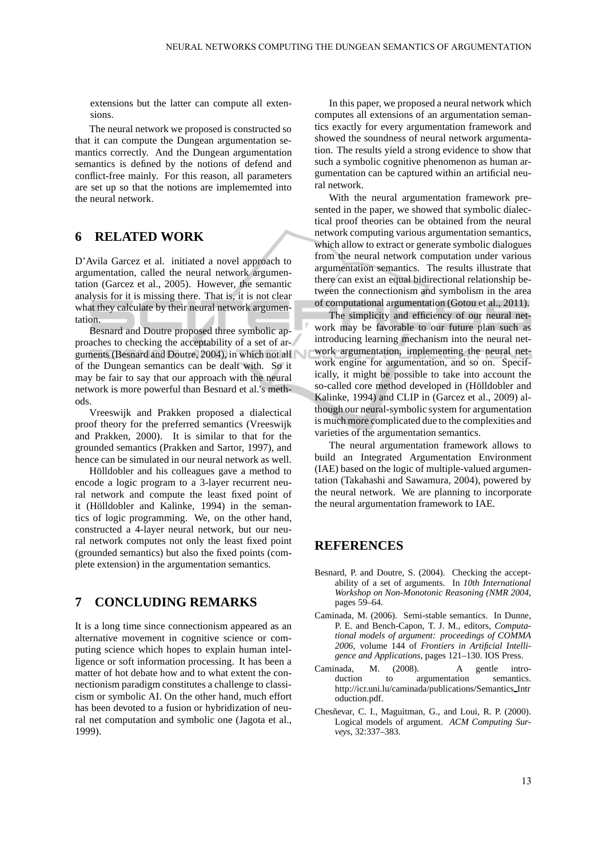extensions but the latter can compute all extensions.

The neural network we proposed is constructed so that it can compute the Dungean argumentation semantics correctly. And the Dungean argumentation semantics is defined by the notions of defend and conflict-free mainly. For this reason, all parameters are set up so that the notions are implememted into the neural network.

## **6 RELATED WORK**

D'Avila Garcez et al. initiated a novel approach to argumentation, called the neural network argumentation (Garcez et al., 2005). However, the semantic analysis for it is missing there. That is, it is not clear what they calculate by their neural network argumentation.

Besnard and Doutre proposed three symbolic approaches to checking the acceptability of a set of arguments (Besnard and Doutre, 2004), in which not all of the Dungean semantics can be dealt with. So it may be fair to say that our approach with the neural network is more powerful than Besnard et al.'s methods.

Vreeswijk and Prakken proposed a dialectical proof theory for the preferred semantics (Vreeswijk and Prakken, 2000). It is similar to that for the grounded semantics (Prakken and Sartor, 1997), and hence can be simulated in our neural network as well.

Hölldobler and his colleagues gave a method to encode a logic program to a 3-layer recurrent neural network and compute the least fixed point of it (Hölldobler and Kalinke, 1994) in the semantics of logic programming. We, on the other hand, constructed a 4-layer neural network, but our neural network computes not only the least fixed point (grounded semantics) but also the fixed points (complete extension) in the argumentation semantics.

# **7 CONCLUDING REMARKS**

It is a long time since connectionism appeared as an alternative movement in cognitive science or computing science which hopes to explain human intelligence or soft information processing. It has been a matter of hot debate how and to what extent the connectionism paradigm constitutes a challenge to classicism or symbolic AI. On the other hand, much effort has been devoted to a fusion or hybridization of neural net computation and symbolic one (Jagota et al., 1999).

In this paper, we proposed a neural network which computes all extensions of an argumentation semantics exactly for every argumentation framework and showed the soundness of neural network argumentation. The results yield a strong evidence to show that such a symbolic cognitive phenomenon as human argumentation can be captured within an artificial neural network.

With the neural argumentation framework presented in the paper, we showed that symbolic dialectical proof theories can be obtained from the neural network computing various argumentation semantics, which allow to extract or generate symbolic dialogues from the neural network computation under various argumentation semantics. The results illustrate that there can exist an equal bidirectional relationship between the connectionism and symbolism in the area of computational argumentation (Gotou et al., 2011).

The simplicity and efficiency of our neural network may be favorable to our future plan such as introducing learning mechanism into the neural network argumentation, implementing the neural network engine for argumentation, and so on. Specifically, it might be possible to take into account the so-called core method developed in (Hölldobler and Kalinke, 1994) and CLIP in (Garcez et al., 2009) although our neural-symbolic system for argumentation is much more complicated due to the complexities and varieties of the argumentation semantics.

The neural argumentation framework allows to build an Integrated Argumentation Environment (IAE) based on the logic of multiple-valued argumentation (Takahashi and Sawamura, 2004), powered by the neural network. We are planning to incorporate the neural argumentation framework to IAE.

## **REFERENCES**

- Besnard, P. and Doutre, S. (2004). Checking the acceptability of a set of arguments. In *10th International Workshop on Non-Monotonic Reasoning (NMR 2004*, pages 59–64.
- Caminada, M. (2006). Semi-stable semantics. In Dunne, P. E. and Bench-Capon, T. J. M., editors, *Computational models of argument: proceedings of COMMA 2006*, volume 144 of *Frontiers in Artificial Intelligence and Applications*, pages 121–130. IOS Press.
- Caminada, M. (2008). A gentle intro-<br>duction to argumentation semantics. duction to argumentation http://icr.uni.lu/caminada/publications/Semantics Intr oduction.pdf.
- Chesñevar, C. I., Maguitman, G., and Loui, R. P. (2000). Logical models of argument. *ACM Computing Surveys*, 32:337–383.